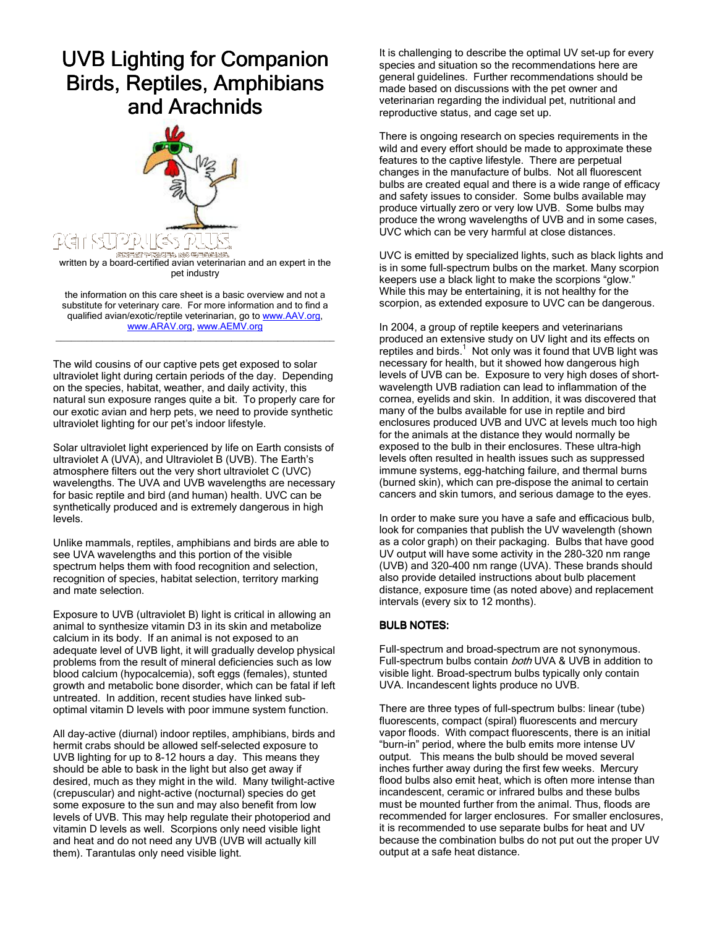## **UVB Lighting for Companion** Birds, Reptiles, Amphibians and Arachnids



written by a board-certified avian veterinarian and an expert in the pet industry

the information on this care sheet is a basic overview and not a substitute for veterinary care. For more information and to find a qualified avian/exotic/reptile veterinarian, go to www.AAV.org, www.ARAV.org, www.AEMV.org

\_\_\_\_\_\_\_\_\_\_\_\_\_\_\_\_\_\_\_\_\_\_\_\_\_\_\_\_\_\_\_\_\_\_\_\_\_\_\_\_\_\_\_\_\_\_\_\_\_\_\_\_\_\_

The wild cousins of our captive pets get exposed to solar ultraviolet light during certain periods of the day. Depending on the species, habitat, weather, and daily activity, this natural sun exposure ranges quite a bit. To properly care for our exotic avian and herp pets, we need to provide synthetic ultraviolet lighting for our pet's indoor lifestyle.

Solar ultraviolet light experienced by life on Earth consists of ultraviolet A (UVA), and Ultraviolet B (UVB). The Earth's atmosphere filters out the very short ultraviolet C (UVC) wavelengths. The UVA and UVB wavelengths are necessary for basic reptile and bird (and human) health. UVC can be synthetically produced and is extremely dangerous in high levels.

Unlike mammals, reptiles, amphibians and birds are able to see UVA wavelengths and this portion of the visible spectrum helps them with food recognition and selection, recognition of species, habitat selection, territory marking and mate selection.

Exposure to UVB (ultraviolet B) light is critical in allowing an animal to synthesize vitamin D3 in its skin and metabolize calcium in its body. If an animal is not exposed to an adequate level of UVB light, it will gradually develop physical problems from the result of mineral deficiencies such as low blood calcium (hypocalcemia), soft eggs (females), stunted growth and metabolic bone disorder, which can be fatal if left untreated. In addition, recent studies have linked suboptimal vitamin D levels with poor immune system function.

All day-active (diurnal) indoor reptiles, amphibians, birds and hermit crabs should be allowed self-selected exposure to UVB lighting for up to 8-12 hours a day. This means they should be able to bask in the light but also get away if desired, much as they might in the wild. Many twilight-active (crepuscular) and night-active (nocturnal) species do get some exposure to the sun and may also benefit from low levels of UVB. This may help regulate their photoperiod and vitamin D levels as well. Scorpions only need visible light and heat and do not need any UVB (UVB will actually kill them). Tarantulas only need visible light.

It is challenging to describe the optimal UV set-up for every species and situation so the recommendations here are general guidelines. Further recommendations should be made based on discussions with the pet owner and veterinarian regarding the individual pet, nutritional and reproductive status, and cage set up.

There is ongoing research on species requirements in the wild and every effort should be made to approximate these features to the captive lifestyle. There are perpetual changes in the manufacture of bulbs. Not all fluorescent bulbs are created equal and there is a wide range of efficacy and safety issues to consider. Some bulbs available may produce virtually zero or very low UVB. Some bulbs may produce the wrong wavelengths of UVB and in some cases, UVC which can be very harmful at close distances.

UVC is emitted by specialized lights, such as black lights and is in some full-spectrum bulbs on the market. Many scorpion keepers use a black light to make the scorpions "glow." While this may be entertaining, it is not healthy for the scorpion, as extended exposure to UVC can be dangerous.

In 2004, a group of reptile keepers and veterinarians produced an extensive study on UV light and its effects on reptiles and birds.<sup>1</sup> Not only was it found that UVB light was necessary for health, but it showed how dangerous high levels of UVB can be. Exposure to very high doses of shortwavelength UVB radiation can lead to inflammation of the cornea, eyelids and skin. In addition, it was discovered that many of the bulbs available for use in reptile and bird enclosures produced UVB and UVC at levels much too high for the animals at the distance they would normally be exposed to the bulb in their enclosures. These ultra-high levels often resulted in health issues such as suppressed immune systems, egg-hatching failure, and thermal burns (burned skin), which can pre-dispose the animal to certain cancers and skin tumors, and serious damage to the eyes.

In order to make sure you have a safe and efficacious bulb, look for companies that publish the UV wavelength (shown as a color graph) on their packaging. Bulbs that have good UV output will have some activity in the 280-320 nm range (UVB) and 320-400 nm range (UVA). These brands should also provide detailed instructions about bulb placement distance, exposure time (as noted above) and replacement intervals (every six to 12 months).

## **BULB NOTES:**

Full-spectrum and broad-spectrum are not synonymous. Full-spectrum bulbs contain both UVA & UVB in addition to visible light. Broad-spectrum bulbs typically only contain UVA. Incandescent lights produce no UVB.

There are three types of full-spectrum bulbs: linear (tube) fluorescents, compact (spiral) fluorescents and mercury vapor floods. With compact fluorescents, there is an initial "burn-in" period, where the bulb emits more intense UV output. This means the bulb should be moved several inches further away during the first few weeks. Mercury flood bulbs also emit heat, which is often more intense than incandescent, ceramic or infrared bulbs and these bulbs must be mounted further from the animal. Thus, floods are recommended for larger enclosures. For smaller enclosures, it is recommended to use separate bulbs for heat and UV because the combination bulbs do not put out the proper UV output at a safe heat distance.